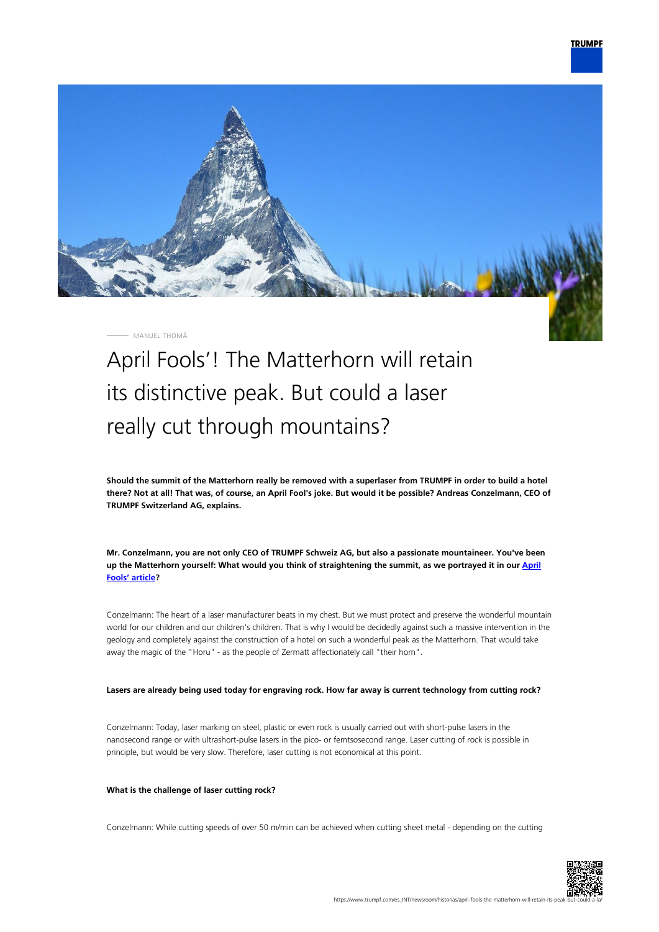

MANUEL THOMÄ

# April Fools'! The Matterhorn will retain its distinctive peak. But could a laser really cut through mountains?

**Should the summit of the Matterhorn really be removed with a superlaser from TRUMPF in order to build a hotel there? Not at all! That was, of course, an April Fool's joke. But would it be possible? Andreas Conzelmann, CEO of TRUMPF Switzerland AG, explains.**

**Mr. Conzelmann, you are not only CEO of TRUMPF Schweiz AG, but also a passionate mountaineer. You've been up the Matterhorn yourself: What would you think of straightening the summit, as we portrayed it in our [April](https://www.trumpf.com/es_INT/newsroom/historias/matterhorn-trumpf-to-laser-away-peaks/) [Fools' article?](https://www.trumpf.com/es_INT/newsroom/historias/matterhorn-trumpf-to-laser-away-peaks/)**

Conzelmann: The heart of a laser manufacturer beats in my chest. But we must protect and preserve the wonderful mountain world for our children and our children's children. That is why I would be decidedly against such a massive intervention in the geology and completely against the construction of a hotel on such a wonderful peak as the Matterhorn. That would take away the magic of the "Horu" - as the people of Zermatt affectionately call "their horn".

### **Lasers are already being used today for engraving rock. How far away is current technology from cutting rock?**

Conzelmann: Today, laser marking on steel, plastic or even rock is usually carried out with short-pulse lasers in the nanosecond range or with ultrashort-pulse lasers in the pico- or femtsosecond range. Laser cutting of rock is possible in principle, but would be very slow. Therefore, laser cutting is not economical at this point.

#### **What is the challenge of laser cutting rock?**

Conzelmann: While cutting speeds of over 50 m/min can be achieved when cutting sheet metal - depending on the cutting